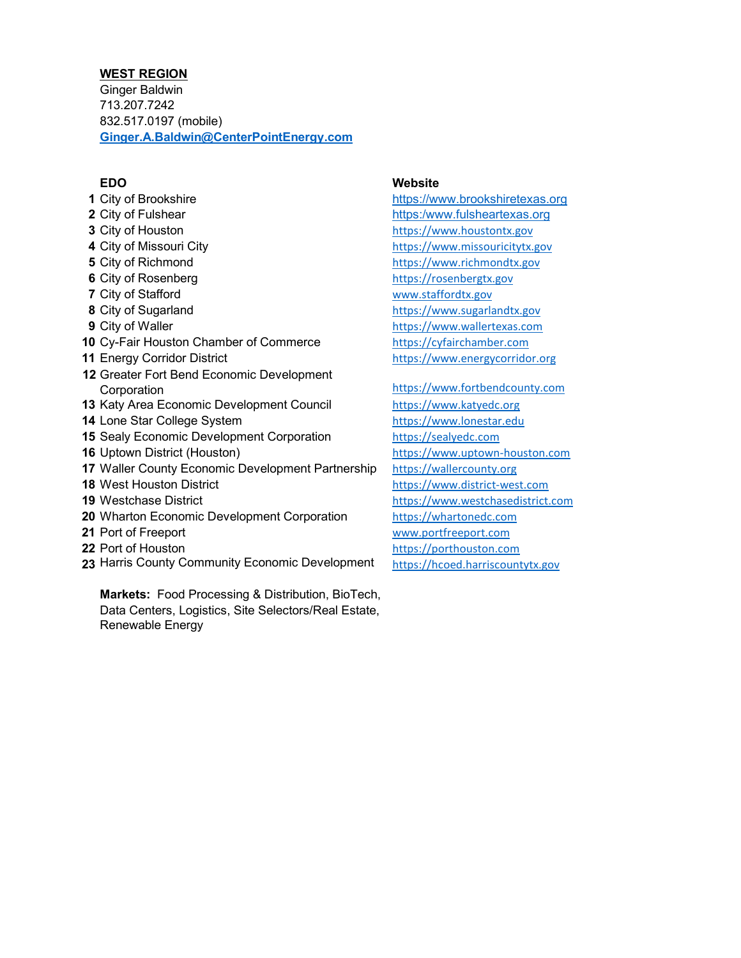## **WEST REGION**

Ginger Baldwin 713.207.7242 832.517.0197 (mobile) **[Ginger.A.Baldwin@CenterPointEnergy.com](mailto:Ginger.A.Baldwin@CenterPointEnergy.com)**

 City of Brookshire **[https://www.brookshiretexas.org](https://www.brookshiretexas.org/)**  City of Fulshear **https:/www.fulsheartexas.org**  City of Houston **https://www.houstontx.gov**  City of Missouri City **https://www.missouricitytx.gov**  City of Richmond **https://www.richmondtx.gov**  City of Rosenberg **butters** [https://rosenbergtx.gov](https://rosenbergtx.gov/) City of Stafford **WALLOCAL STATE** [www.staffordtx.gov](http://www.staffordtx.gov/) City of Sugarland **8** City of Sugarlandtx.gov City of Waller **[https://www.wallertexas.com](https://www.wallertexas.com/)**  Cy-Fair Houston Chamber of Commerce [https://cyfairchamber.com](https://cyfairchamber.com/) Energy Corridor District **[https://www.energycorridor.org](https://www.energycorridor.org/)**  Greater Fort Bend Economic Development Corporation [https://www.fortbendcounty.com](https://www.fortbendcounty.com/) Katy Area Economic Development Council [https://www.katyedc.org](https://www.katyedc.org/) Lone Star College System **[https://www.lonestar.edu](https://www.lonestar.edu/)**  Sealy Economic Development Corporation [https://sealyedc.com](https://sealyedc.com/) Uptown District (Houston) [https://www.uptown-houston.com](https://www.uptown-houston.com/) Waller County Economic Development Partnership [https://wallercounty.org](https://wallercounty.org/) West Houston District **[https://www.district-west.com](https://www.district-west.com/)**  Westchase District **[https://www.westchasedistrict.com](https://www.westchasedistrict.com/)** 20 Wharton Economic Development Corporation [https://whartonedc.com](https://whartonedc.com/) Port of Freeport [www.portfreeport.com](http://www.portfreeport.com/) Port of Houston **https://porthouston.com** 23 Harris County Community Economic Development [https://hcoed.harriscountytx.gov](https://hcoed.harriscountytx.gov/)

**Markets:** Food Processing & Distribution, BioTech, Data Centers, Logistics, Site Selectors/Real Estate, Renewable Energy

# **EDO Website**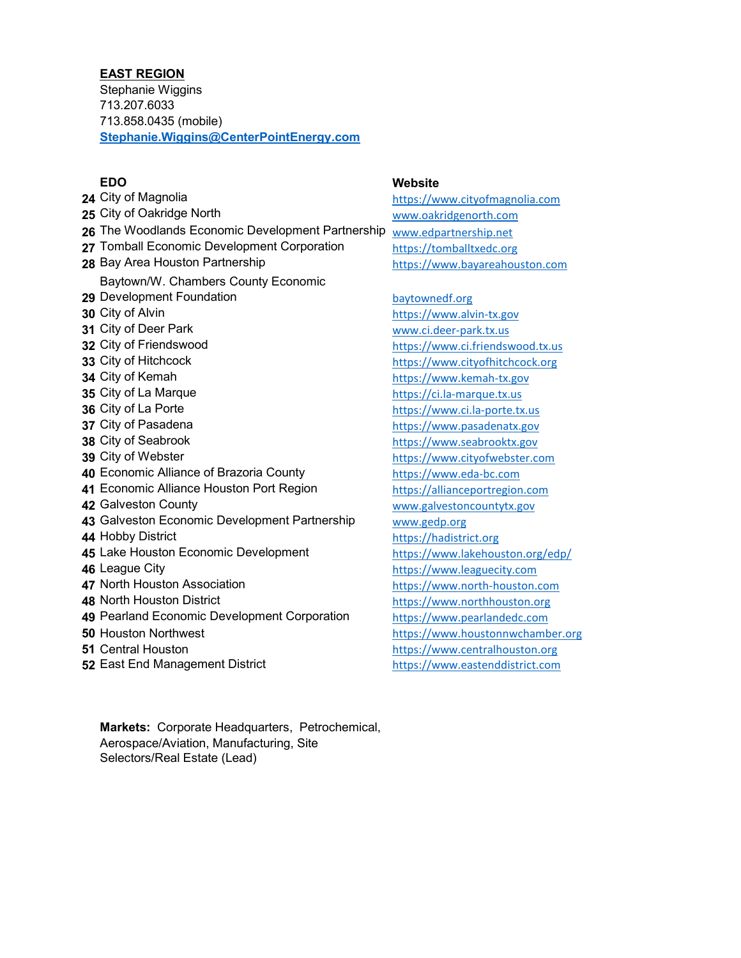## **EAST REGION**

Stephanie Wiggins 713.207.6033 713.858.0435 (mobile) **[Stephanie.Wiggins@CenterPointEnergy.com](mailto:Stephanie.Wiggins@CenterPointEnergy.com)**

 City of Magnolia **https://www.cityofmagnolia.com**  City of Oakridge North **WALL CONSTRESS WAS A WALL CONSTRESS OF STATE** [www.oakridgenorth.com](http://www.oakridgenorth.com/) The Woodlands Economic Development Partnership [www.edpartnership.net](http://www.edpartnership.net/) Tomball Economic Development Corporation<br> **28** Bay Area Houston Partnership<br>
https://www.bayareahou Development Foundation and a state of the baytownedf.org Baytown/W. Chambers County Economic City of Alvin **1996**<br>**31** City of Deer Park **1996** City of Deer Park **1997**  City of Deer Park www.ci.deer-park.tx.us<br>**32** City of Friendswood www.ci.triendsv City of Hitchcock [https://www.cityofhitchcock.org](https://www.cityofhitchcock.org/) City of Kemah **[https://www.kemah-tx.gov](https://www.kemah-tx.gov/)**  City of La Marque **and Contact Contact Contact Contact Contact Contact Contact Contact Contact Contact Conta<br><b>36** City of La Porte **https://www.ci.la-porte.tx**  City of Pasadena **[https://www.pasadenatx.gov](https://www.pasadenatx.gov/)**  City of Seabrook **[https://www.seabrooktx.gov](https://www.seabrooktx.gov/)**  City of Webster **[https://www.cityofwebster.com](https://www.cityofwebster.com/)**  Economic Alliance of Brazoria County [https://www.eda-bc.com](https://www.eda-bc.com/) Economic Alliance Houston Port Region<br>**42** Galveston County<br>www.galveston.county.gov 43 Galveston Economic Development Partnership [www.gedp.org](http://www.gedp.org/) Hobby District **[https://hadistrict.org](https://hadistrict.org/)**  Lake Houston Economic Development <https://www.lakehouston.org/edp/> League City **and City** [https://www.leaguecity.com](https://www.leaguecity.com/)<br>**47** North Houston Association **And City** https://www.north-houston. North Houston District **[https://www.northhouston.org](https://www.northhouston.org/)**  Pearland Economic Development Corporation [https://www.pearlandedc.com](https://www.pearlandedc.com/) Houston Northwest **[https://www.houstonnwchamber.org](https://www.houstonnwchamber.org/)**  Central Houston **https://www.centralhouston.org** East End Management District [https://www.eastenddistrict.com](https://www.eastenddistrict.com/)

**EDO Website**

Bay Area Houston Partnership https://www.bayareahouston.com

 City of Friendswood [https://www.ci.friendswood.tx.us](https://www.ci.friendswood.tx.us/) City of La Porte [https://www.ci.la-porte.tx.us](https://www.ci.la-porte.tx.us/) [www.galvestoncountytx.gov](http://www.galvestoncountytx.gov/) [https://www.north-houston.com](https://www.north-houston.com/)

**Markets:** Corporate Headquarters, Petrochemical, Aerospace/Aviation, Manufacturing, Site Selectors/Real Estate (Lead)